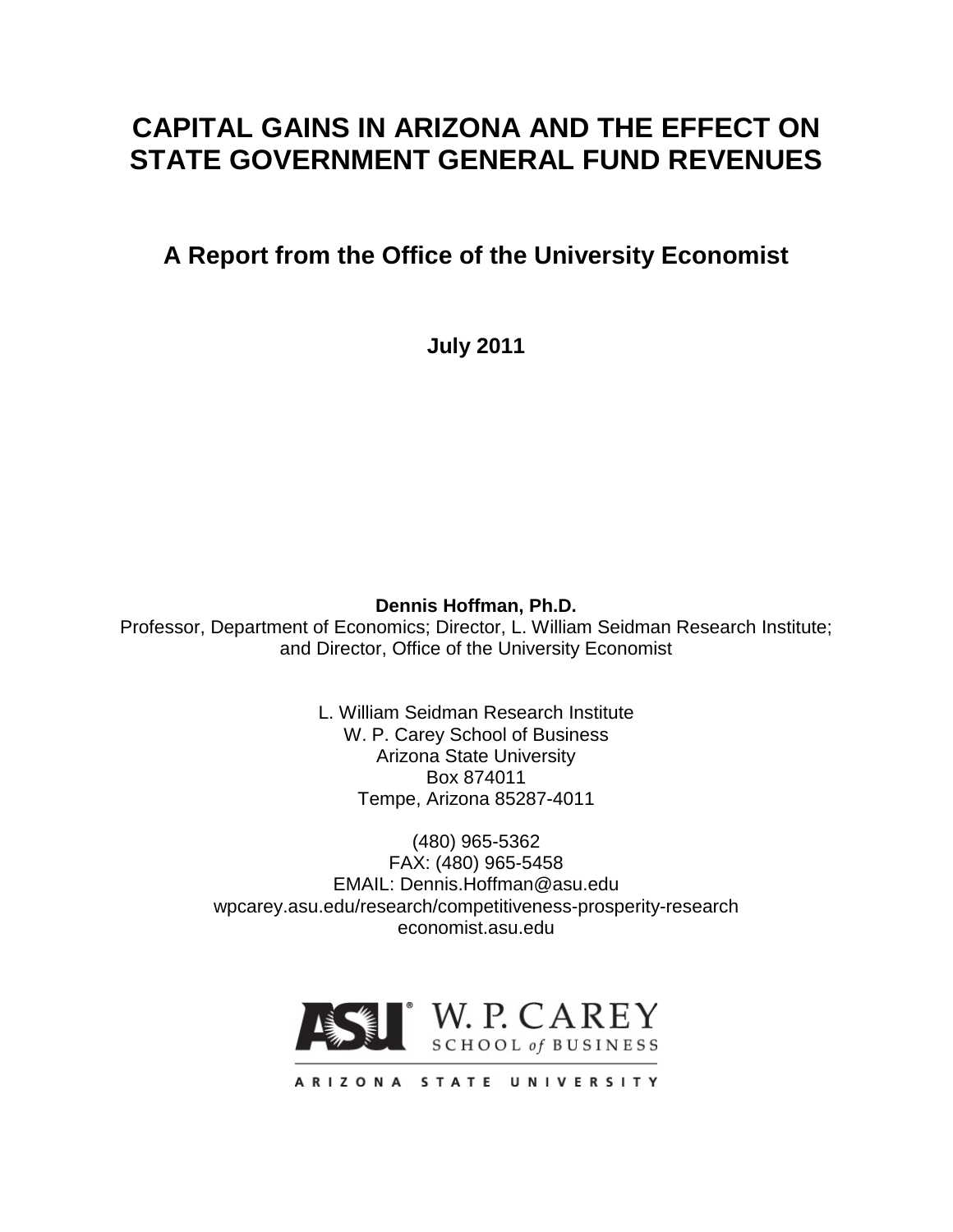# **CAPITAL GAINS IN ARIZONA AND THE EFFECT ON STATE GOVERNMENT GENERAL FUND REVENUES**

**A Report from the Office of the University Economist**

**July 2011**

**Dennis Hoffman, Ph.D.**

Professor, Department of Economics; Director, L. William Seidman Research Institute; and Director, Office of the University Economist

> L. William Seidman Research Institute W. P. Carey School of Business Arizona State University Box 874011 Tempe, Arizona 85287-4011

(480) 965-5362 FAX: (480) 965-5458 EMAIL: Dennis.Hoffman@asu.edu wpcarey.asu.edu/research/competitiveness-prosperity-research economist.asu.edu

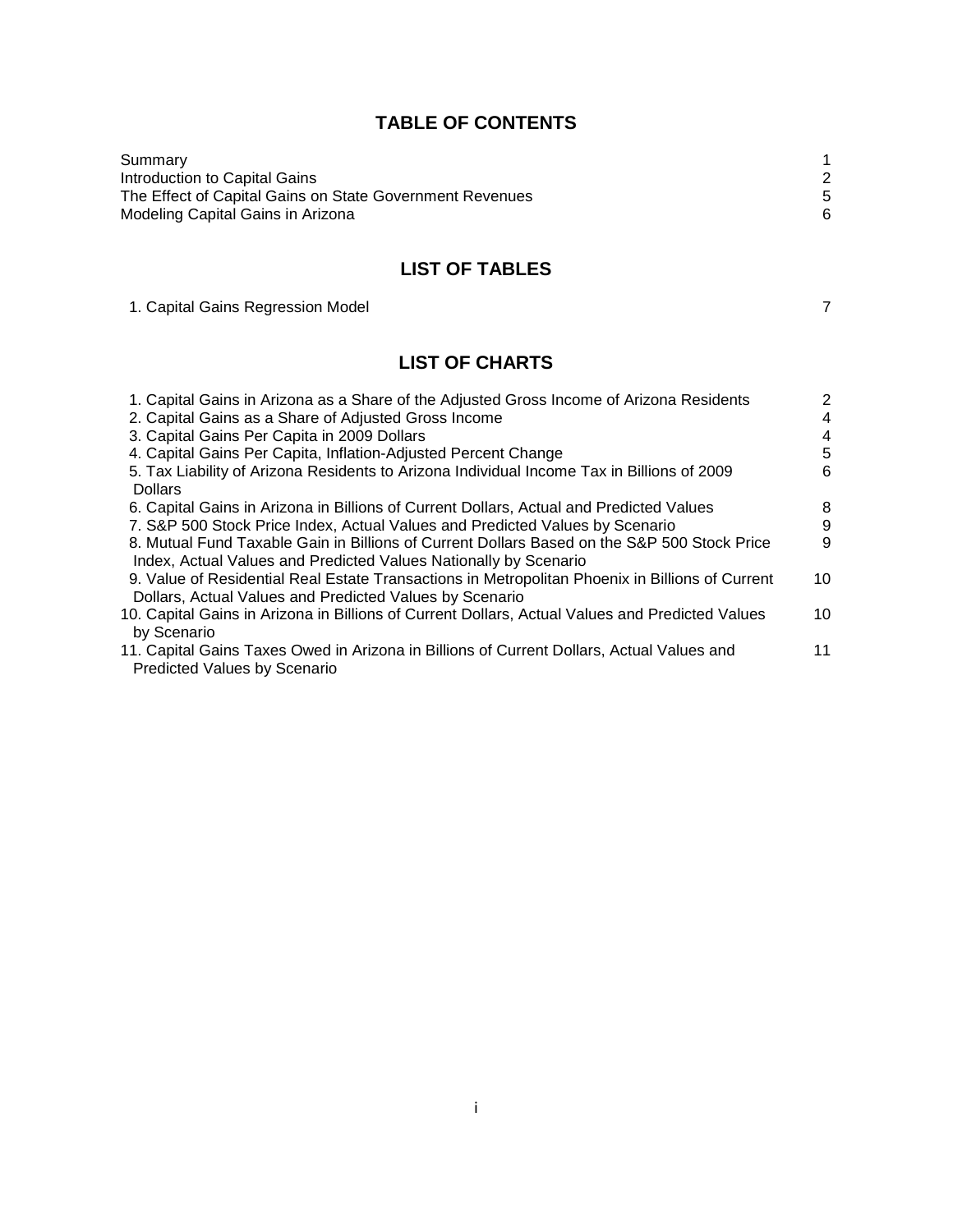# **TABLE OF CONTENTS**

| Summary                                                  |   |
|----------------------------------------------------------|---|
| Introduction to Capital Gains                            |   |
| The Effect of Capital Gains on State Government Revenues |   |
| Modeling Capital Gains in Arizona                        | 6 |

# **LIST OF TABLES**

1. Capital Gains Regression Model **7** and 7 and 7 and 7 and 7 and 7 and 7 and 7 and 7 and 7 and 7 and 7 and 7 and 7 and 7 and 7 and 7 and 7 and 7 and 7 and 7 and 7 and 7 and 7 and 7 and 7 and 7 and 7 and 7 and 7 and 7 and

# **LIST OF CHARTS**

| 1. Capital Gains in Arizona as a Share of the Adjusted Gross Income of Arizona Residents        | 2  |
|-------------------------------------------------------------------------------------------------|----|
| 2. Capital Gains as a Share of Adjusted Gross Income                                            | 4  |
| 3. Capital Gains Per Capita in 2009 Dollars                                                     | 4  |
| 4. Capital Gains Per Capita, Inflation-Adjusted Percent Change                                  | 5  |
| 5. Tax Liability of Arizona Residents to Arizona Individual Income Tax in Billions of 2009      | 6  |
| <b>Dollars</b>                                                                                  |    |
| 6. Capital Gains in Arizona in Billions of Current Dollars, Actual and Predicted Values         | 8  |
| 7. S&P 500 Stock Price Index, Actual Values and Predicted Values by Scenario                    | 9  |
| 8. Mutual Fund Taxable Gain in Billions of Current Dollars Based on the S&P 500 Stock Price     | 9  |
| Index, Actual Values and Predicted Values Nationally by Scenario                                |    |
| 9. Value of Residential Real Estate Transactions in Metropolitan Phoenix in Billions of Current | 10 |
| Dollars, Actual Values and Predicted Values by Scenario                                         |    |
| 10. Capital Gains in Arizona in Billions of Current Dollars, Actual Values and Predicted Values | 10 |
| by Scenario                                                                                     |    |
| 11. Capital Gains Taxes Owed in Arizona in Billions of Current Dollars, Actual Values and       | 11 |
| <b>Predicted Values by Scenario</b>                                                             |    |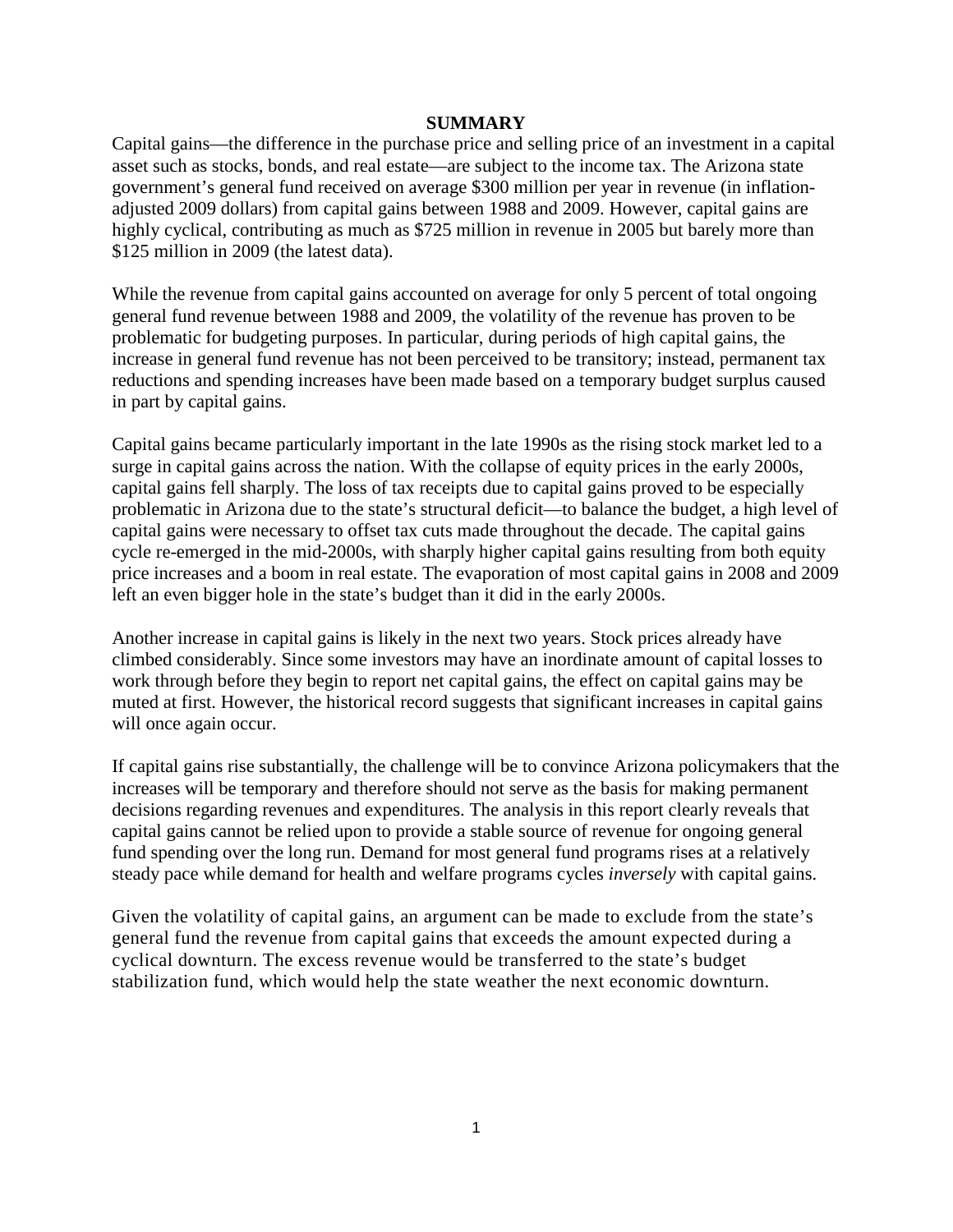#### **SUMMARY**

Capital gains—the difference in the purchase price and selling price of an investment in a capital asset such as stocks, bonds, and real estate—are subject to the income tax. The Arizona state government's general fund received on average \$300 million per year in revenue (in inflationadjusted 2009 dollars) from capital gains between 1988 and 2009. However, capital gains are highly cyclical, contributing as much as \$725 million in revenue in 2005 but barely more than \$125 million in 2009 (the latest data).

While the revenue from capital gains accounted on average for only 5 percent of total ongoing general fund revenue between 1988 and 2009, the volatility of the revenue has proven to be problematic for budgeting purposes. In particular, during periods of high capital gains, the increase in general fund revenue has not been perceived to be transitory; instead, permanent tax reductions and spending increases have been made based on a temporary budget surplus caused in part by capital gains.

Capital gains became particularly important in the late 1990s as the rising stock market led to a surge in capital gains across the nation. With the collapse of equity prices in the early 2000s, capital gains fell sharply. The loss of tax receipts due to capital gains proved to be especially problematic in Arizona due to the state's structural deficit—to balance the budget, a high level of capital gains were necessary to offset tax cuts made throughout the decade. The capital gains cycle re-emerged in the mid-2000s, with sharply higher capital gains resulting from both equity price increases and a boom in real estate. The evaporation of most capital gains in 2008 and 2009 left an even bigger hole in the state's budget than it did in the early 2000s.

Another increase in capital gains is likely in the next two years. Stock prices already have climbed considerably. Since some investors may have an inordinate amount of capital losses to work through before they begin to report net capital gains, the effect on capital gains may be muted at first. However, the historical record suggests that significant increases in capital gains will once again occur.

If capital gains rise substantially, the challenge will be to convince Arizona policymakers that the increases will be temporary and therefore should not serve as the basis for making permanent decisions regarding revenues and expenditures. The analysis in this report clearly reveals that capital gains cannot be relied upon to provide a stable source of revenue for ongoing general fund spending over the long run. Demand for most general fund programs rises at a relatively steady pace while demand for health and welfare programs cycles *inversely* with capital gains.

Given the volatility of capital gains, an argument can be made to exclude from the state's general fund the revenue from capital gains that exceeds the amount expected during a cyclical downturn. The excess revenue would be transferred to the state's budget stabilization fund, which would help the state weather the next economic downturn.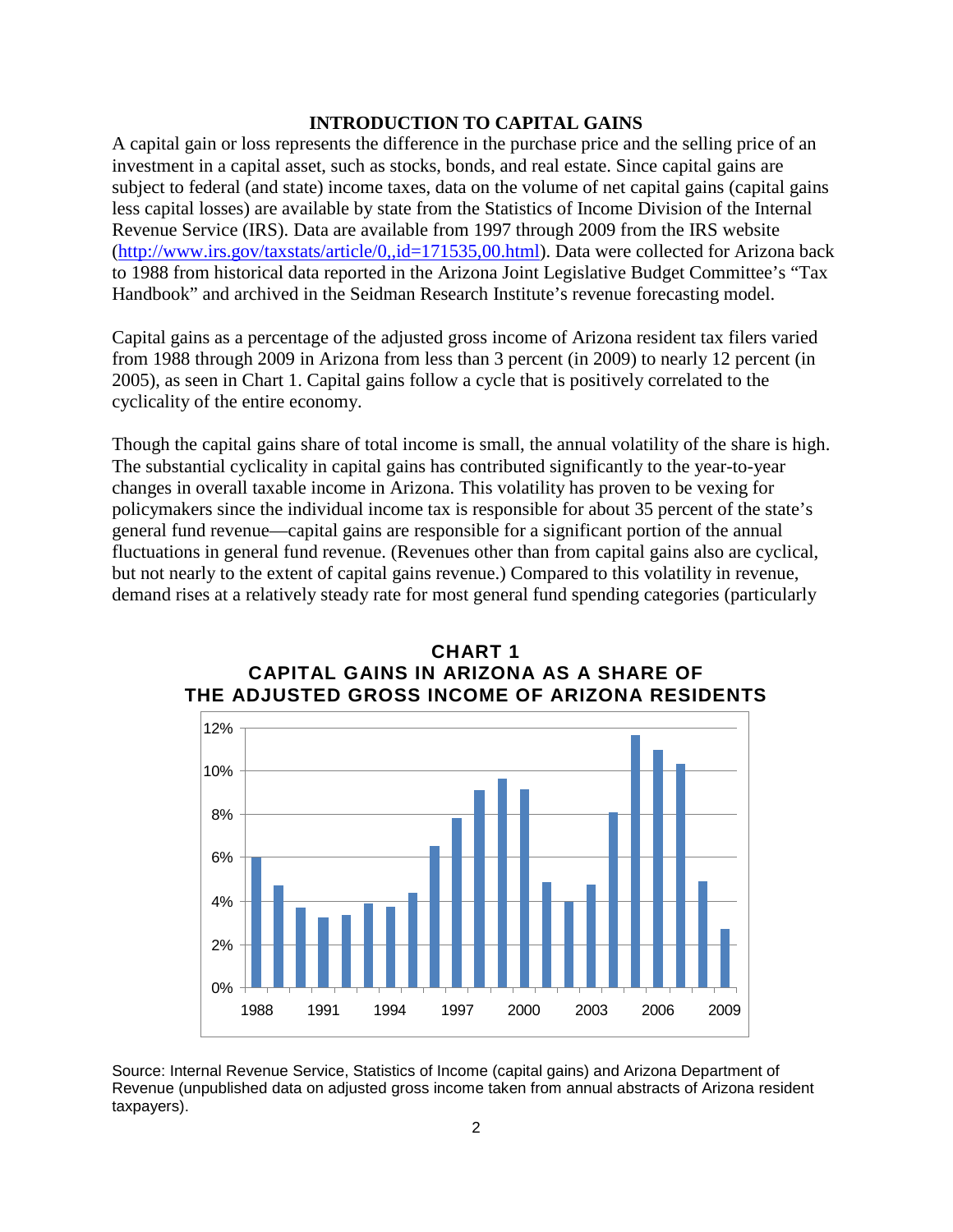## **INTRODUCTION TO CAPITAL GAINS**

A capital gain or loss represents the difference in the purchase price and the selling price of an investment in a capital asset, such as stocks, bonds, and real estate. Since capital gains are subject to federal (and state) income taxes, data on the volume of net capital gains (capital gains less capital losses) are available by state from the Statistics of Income Division of the Internal Revenue Service (IRS). Data are available from 1997 through 2009 from the IRS website [\(http://www.irs.gov/taxstats/article/0,,id=171535,00.html\)](http://www.irs.gov/taxstats/article/0,,id=171535,00.html). Data were collected for Arizona back to 1988 from historical data reported in the Arizona Joint Legislative Budget Committee's "Tax Handbook" and archived in the Seidman Research Institute's revenue forecasting model.

Capital gains as a percentage of the adjusted gross income of Arizona resident tax filers varied from 1988 through 2009 in Arizona from less than 3 percent (in 2009) to nearly 12 percent (in 2005), as seen in Chart 1. Capital gains follow a cycle that is positively correlated to the cyclicality of the entire economy.

Though the capital gains share of total income is small, the annual volatility of the share is high. The substantial cyclicality in capital gains has contributed significantly to the year-to-year changes in overall taxable income in Arizona. This volatility has proven to be vexing for policymakers since the individual income tax is responsible for about 35 percent of the state's general fund revenue—capital gains are responsible for a significant portion of the annual fluctuations in general fund revenue. (Revenues other than from capital gains also are cyclical, but not nearly to the extent of capital gains revenue.) Compared to this volatility in revenue, demand rises at a relatively steady rate for most general fund spending categories (particularly



## **CHART 1 CAPITAL GAINS IN ARIZONA AS A SHARE OF THE ADJUSTED GROSS INCOME OF ARIZONA RESIDENTS**

Source: Internal Revenue Service, Statistics of Income (capital gains) and Arizona Department of Revenue (unpublished data on adjusted gross income taken from annual abstracts of Arizona resident taxpayers).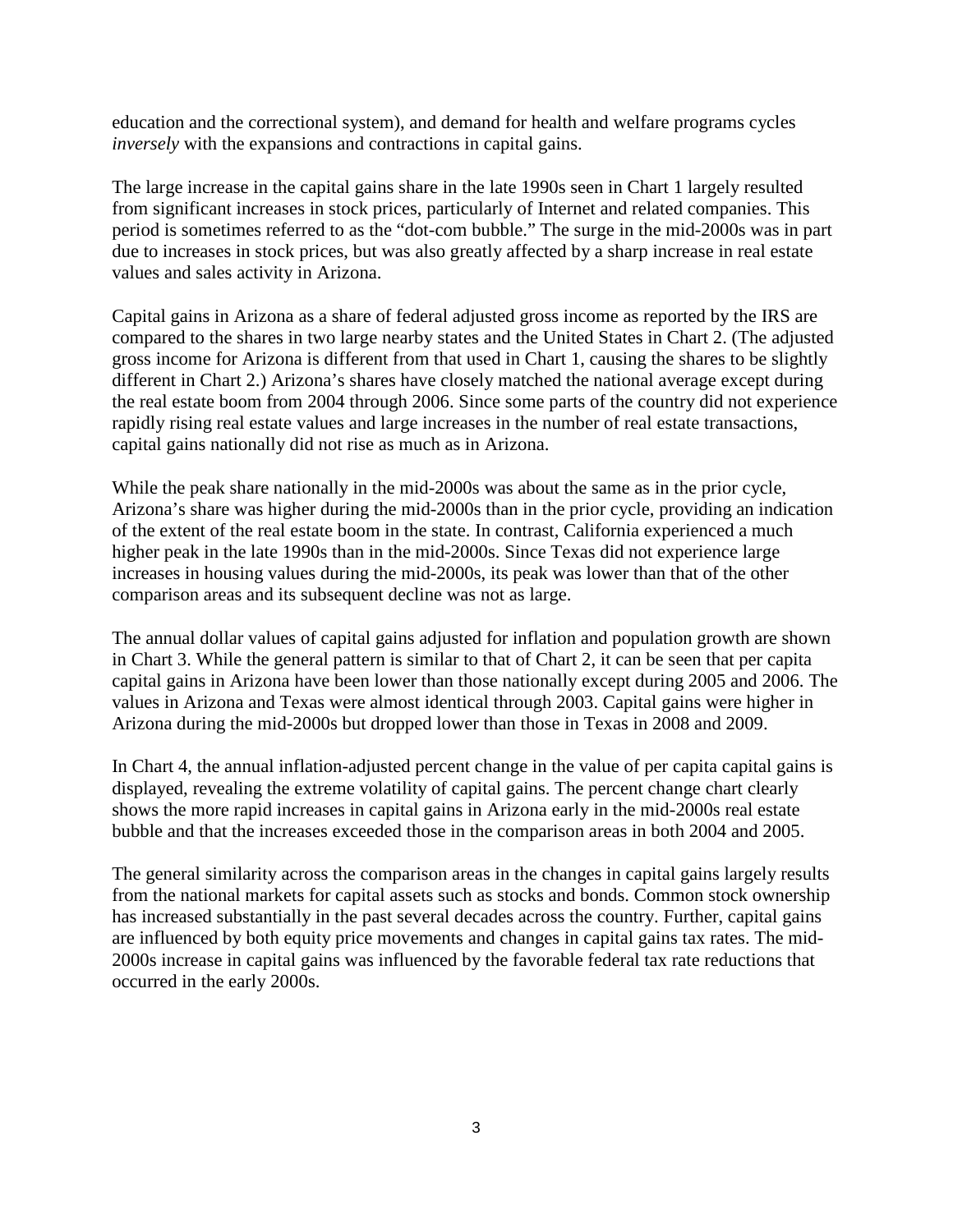education and the correctional system), and demand for health and welfare programs cycles *inversely* with the expansions and contractions in capital gains.

The large increase in the capital gains share in the late 1990s seen in Chart 1 largely resulted from significant increases in stock prices, particularly of Internet and related companies. This period is sometimes referred to as the "dot-com bubble." The surge in the mid-2000s was in part due to increases in stock prices, but was also greatly affected by a sharp increase in real estate values and sales activity in Arizona.

Capital gains in Arizona as a share of federal adjusted gross income as reported by the IRS are compared to the shares in two large nearby states and the United States in Chart 2. (The adjusted gross income for Arizona is different from that used in Chart 1, causing the shares to be slightly different in Chart 2.) Arizona's shares have closely matched the national average except during the real estate boom from 2004 through 2006. Since some parts of the country did not experience rapidly rising real estate values and large increases in the number of real estate transactions, capital gains nationally did not rise as much as in Arizona.

While the peak share nationally in the mid-2000s was about the same as in the prior cycle, Arizona's share was higher during the mid-2000s than in the prior cycle, providing an indication of the extent of the real estate boom in the state. In contrast, California experienced a much higher peak in the late 1990s than in the mid-2000s. Since Texas did not experience large increases in housing values during the mid-2000s, its peak was lower than that of the other comparison areas and its subsequent decline was not as large.

The annual dollar values of capital gains adjusted for inflation and population growth are shown in Chart 3. While the general pattern is similar to that of Chart 2, it can be seen that per capita capital gains in Arizona have been lower than those nationally except during 2005 and 2006. The values in Arizona and Texas were almost identical through 2003. Capital gains were higher in Arizona during the mid-2000s but dropped lower than those in Texas in 2008 and 2009.

In Chart 4, the annual inflation-adjusted percent change in the value of per capita capital gains is displayed, revealing the extreme volatility of capital gains. The percent change chart clearly shows the more rapid increases in capital gains in Arizona early in the mid-2000s real estate bubble and that the increases exceeded those in the comparison areas in both 2004 and 2005.

The general similarity across the comparison areas in the changes in capital gains largely results from the national markets for capital assets such as stocks and bonds. Common stock ownership has increased substantially in the past several decades across the country. Further, capital gains are influenced by both equity price movements and changes in capital gains tax rates. The mid-2000s increase in capital gains was influenced by the favorable federal tax rate reductions that occurred in the early 2000s.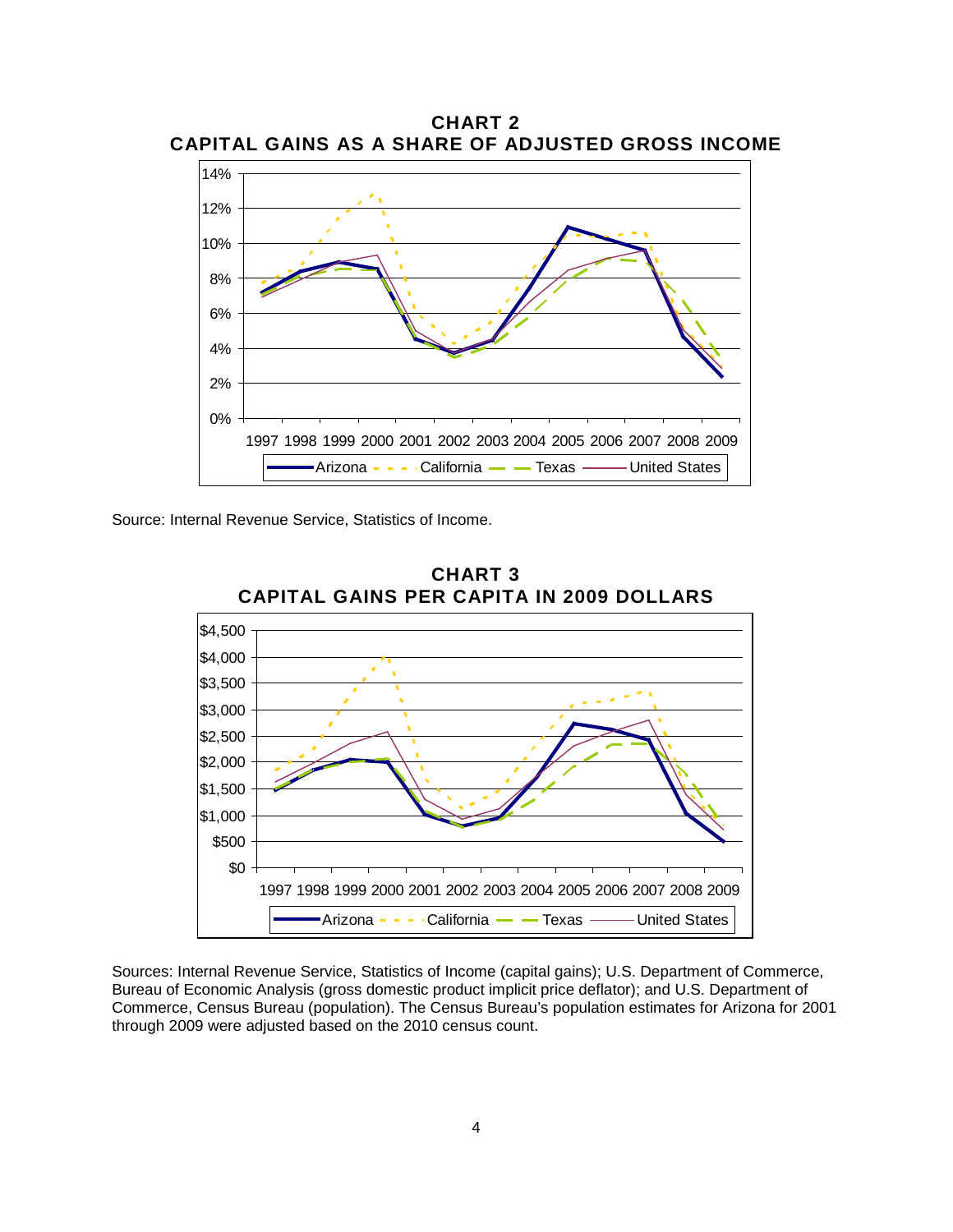

**CHART 2 CAPITAL GAINS AS A SHARE OF ADJUSTED GROSS INCOME**

Source: Internal Revenue Service, Statistics of Income.



**CHART 3 CAPITAL GAINS PER CAPITA IN 2009 DOLLARS**

Sources: Internal Revenue Service, Statistics of Income (capital gains); U.S. Department of Commerce, Bureau of Economic Analysis (gross domestic product implicit price deflator); and U.S. Department of Commerce, Census Bureau (population). The Census Bureau's population estimates for Arizona for 2001 through 2009 were adjusted based on the 2010 census count.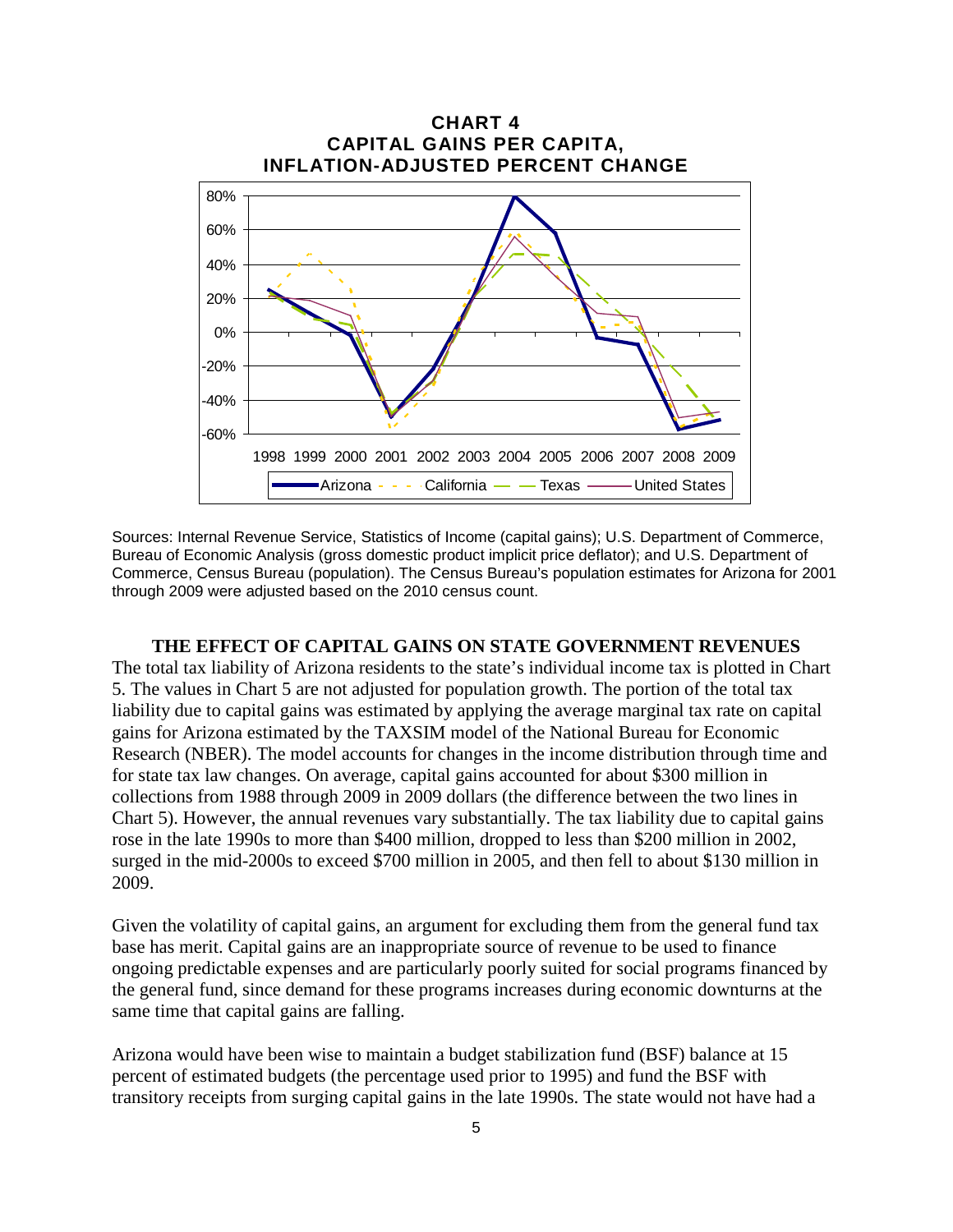

Sources: Internal Revenue Service, Statistics of Income (capital gains); U.S. Department of Commerce, Bureau of Economic Analysis (gross domestic product implicit price deflator); and U.S. Department of Commerce, Census Bureau (population). The Census Bureau's population estimates for Arizona for 2001 through 2009 were adjusted based on the 2010 census count.

#### **THE EFFECT OF CAPITAL GAINS ON STATE GOVERNMENT REVENUES**

The total tax liability of Arizona residents to the state's individual income tax is plotted in Chart 5. The values in Chart 5 are not adjusted for population growth. The portion of the total tax liability due to capital gains was estimated by applying the average marginal tax rate on capital gains for Arizona estimated by the TAXSIM model of the National Bureau for Economic Research (NBER). The model accounts for changes in the income distribution through time and for state tax law changes. On average, capital gains accounted for about \$300 million in collections from 1988 through 2009 in 2009 dollars (the difference between the two lines in Chart 5). However, the annual revenues vary substantially. The tax liability due to capital gains rose in the late 1990s to more than \$400 million, dropped to less than \$200 million in 2002, surged in the mid-2000s to exceed \$700 million in 2005, and then fell to about \$130 million in 2009.

Given the volatility of capital gains, an argument for excluding them from the general fund tax base has merit. Capital gains are an inappropriate source of revenue to be used to finance ongoing predictable expenses and are particularly poorly suited for social programs financed by the general fund, since demand for these programs increases during economic downturns at the same time that capital gains are falling.

Arizona would have been wise to maintain a budget stabilization fund (BSF) balance at 15 percent of estimated budgets (the percentage used prior to 1995) and fund the BSF with transitory receipts from surging capital gains in the late 1990s. The state would not have had a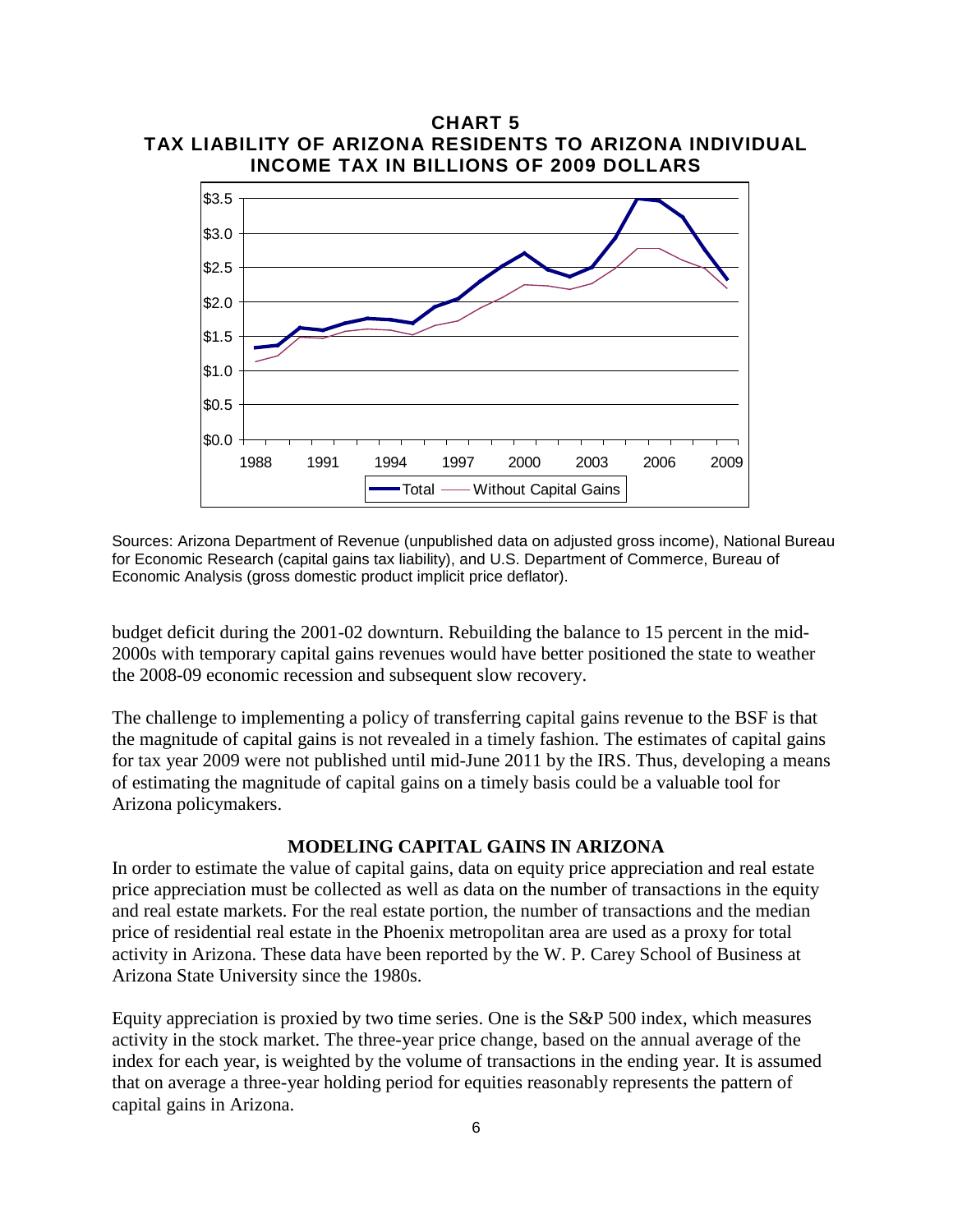

Sources: Arizona Department of Revenue (unpublished data on adjusted gross income), National Bureau for Economic Research (capital gains tax liability), and U.S. Department of Commerce, Bureau of Economic Analysis (gross domestic product implicit price deflator).

budget deficit during the 2001-02 downturn. Rebuilding the balance to 15 percent in the mid-2000s with temporary capital gains revenues would have better positioned the state to weather the 2008-09 economic recession and subsequent slow recovery.

The challenge to implementing a policy of transferring capital gains revenue to the BSF is that the magnitude of capital gains is not revealed in a timely fashion. The estimates of capital gains for tax year 2009 were not published until mid-June 2011 by the IRS. Thus, developing a means of estimating the magnitude of capital gains on a timely basis could be a valuable tool for Arizona policymakers.

## **MODELING CAPITAL GAINS IN ARIZONA**

In order to estimate the value of capital gains, data on equity price appreciation and real estate price appreciation must be collected as well as data on the number of transactions in the equity and real estate markets. For the real estate portion, the number of transactions and the median price of residential real estate in the Phoenix metropolitan area are used as a proxy for total activity in Arizona. These data have been reported by the W. P. Carey School of Business at Arizona State University since the 1980s.

Equity appreciation is proxied by two time series. One is the S&P 500 index, which measures activity in the stock market. The three-year price change, based on the annual average of the index for each year, is weighted by the volume of transactions in the ending year. It is assumed that on average a three-year holding period for equities reasonably represents the pattern of capital gains in Arizona.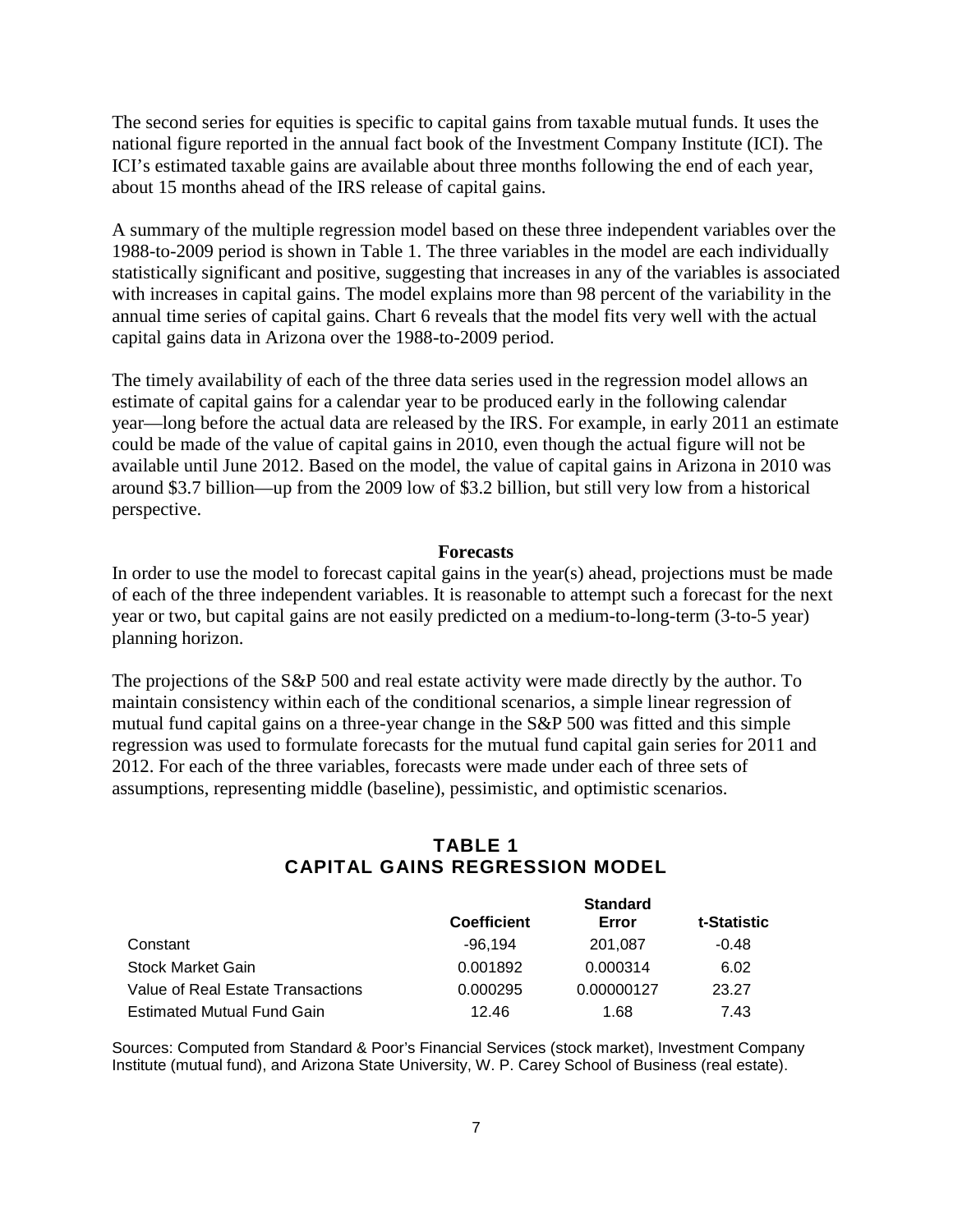The second series for equities is specific to capital gains from taxable mutual funds. It uses the national figure reported in the annual fact book of the Investment Company Institute (ICI). The ICI's estimated taxable gains are available about three months following the end of each year, about 15 months ahead of the IRS release of capital gains.

A summary of the multiple regression model based on these three independent variables over the 1988-to-2009 period is shown in Table 1. The three variables in the model are each individually statistically significant and positive, suggesting that increases in any of the variables is associated with increases in capital gains. The model explains more than 98 percent of the variability in the annual time series of capital gains. Chart 6 reveals that the model fits very well with the actual capital gains data in Arizona over the 1988-to-2009 period.

The timely availability of each of the three data series used in the regression model allows an estimate of capital gains for a calendar year to be produced early in the following calendar year—long before the actual data are released by the IRS. For example, in early 2011 an estimate could be made of the value of capital gains in 2010, even though the actual figure will not be available until June 2012. Based on the model, the value of capital gains in Arizona in 2010 was around \$3.7 billion—up from the 2009 low of \$3.2 billion, but still very low from a historical perspective.

#### **Forecasts**

In order to use the model to forecast capital gains in the year(s) ahead, projections must be made of each of the three independent variables. It is reasonable to attempt such a forecast for the next year or two, but capital gains are not easily predicted on a medium-to-long-term (3-to-5 year) planning horizon.

The projections of the S&P 500 and real estate activity were made directly by the author. To maintain consistency within each of the conditional scenarios, a simple linear regression of mutual fund capital gains on a three-year change in the S&P 500 was fitted and this simple regression was used to formulate forecasts for the mutual fund capital gain series for 2011 and 2012. For each of the three variables, forecasts were made under each of three sets of assumptions, representing middle (baseline), pessimistic, and optimistic scenarios.

#### **TABLE 1 CAPITAL GAINS REGRESSION MODEL**

|                                   | <b>Standard</b>    |            |             |
|-----------------------------------|--------------------|------------|-------------|
|                                   | <b>Coefficient</b> | Error      | t-Statistic |
| Constant                          | -96.194            | 201.087    | $-0.48$     |
| Stock Market Gain                 | 0.001892           | 0.000314   | 6.02        |
| Value of Real Estate Transactions | 0.000295           | 0.00000127 | 23.27       |
| <b>Estimated Mutual Fund Gain</b> | 12.46              | 1.68       | 7.43        |

Sources: Computed from Standard & Poor's Financial Services (stock market), Investment Company Institute (mutual fund), and Arizona State University, W. P. Carey School of Business (real estate).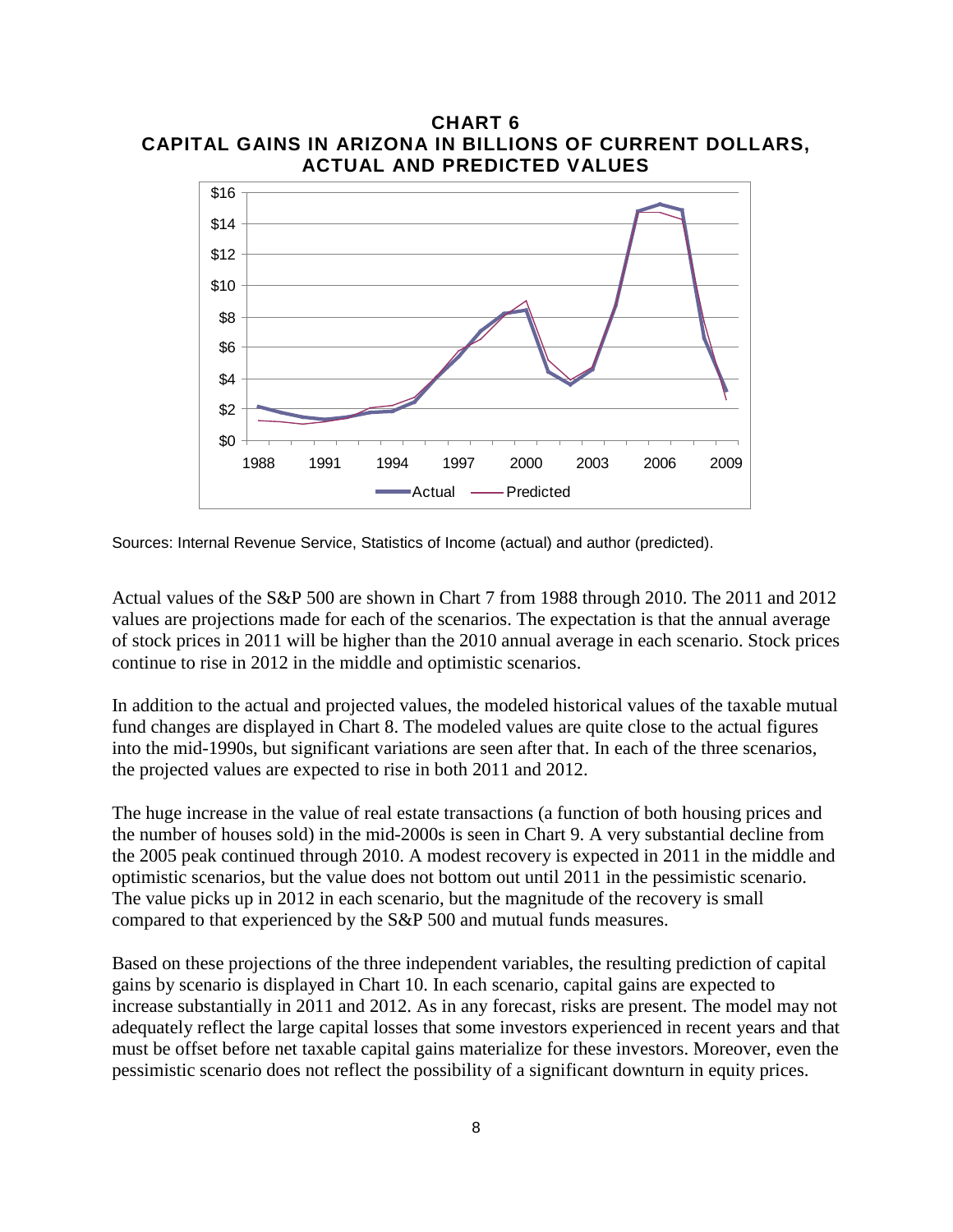

**CHART 6 CAPITAL GAINS IN ARIZONA IN BILLIONS OF CURRENT DOLLARS,** 

Sources: Internal Revenue Service, Statistics of Income (actual) and author (predicted).

Actual values of the S&P 500 are shown in Chart 7 from 1988 through 2010. The 2011 and 2012 values are projections made for each of the scenarios. The expectation is that the annual average of stock prices in 2011 will be higher than the 2010 annual average in each scenario. Stock prices continue to rise in 2012 in the middle and optimistic scenarios.

In addition to the actual and projected values, the modeled historical values of the taxable mutual fund changes are displayed in Chart 8. The modeled values are quite close to the actual figures into the mid-1990s, but significant variations are seen after that. In each of the three scenarios, the projected values are expected to rise in both 2011 and 2012.

The huge increase in the value of real estate transactions (a function of both housing prices and the number of houses sold) in the mid-2000s is seen in Chart 9. A very substantial decline from the 2005 peak continued through 2010. A modest recovery is expected in 2011 in the middle and optimistic scenarios, but the value does not bottom out until 2011 in the pessimistic scenario. The value picks up in 2012 in each scenario, but the magnitude of the recovery is small compared to that experienced by the S&P 500 and mutual funds measures.

Based on these projections of the three independent variables, the resulting prediction of capital gains by scenario is displayed in Chart 10. In each scenario, capital gains are expected to increase substantially in 2011 and 2012. As in any forecast, risks are present. The model may not adequately reflect the large capital losses that some investors experienced in recent years and that must be offset before net taxable capital gains materialize for these investors. Moreover, even the pessimistic scenario does not reflect the possibility of a significant downturn in equity prices.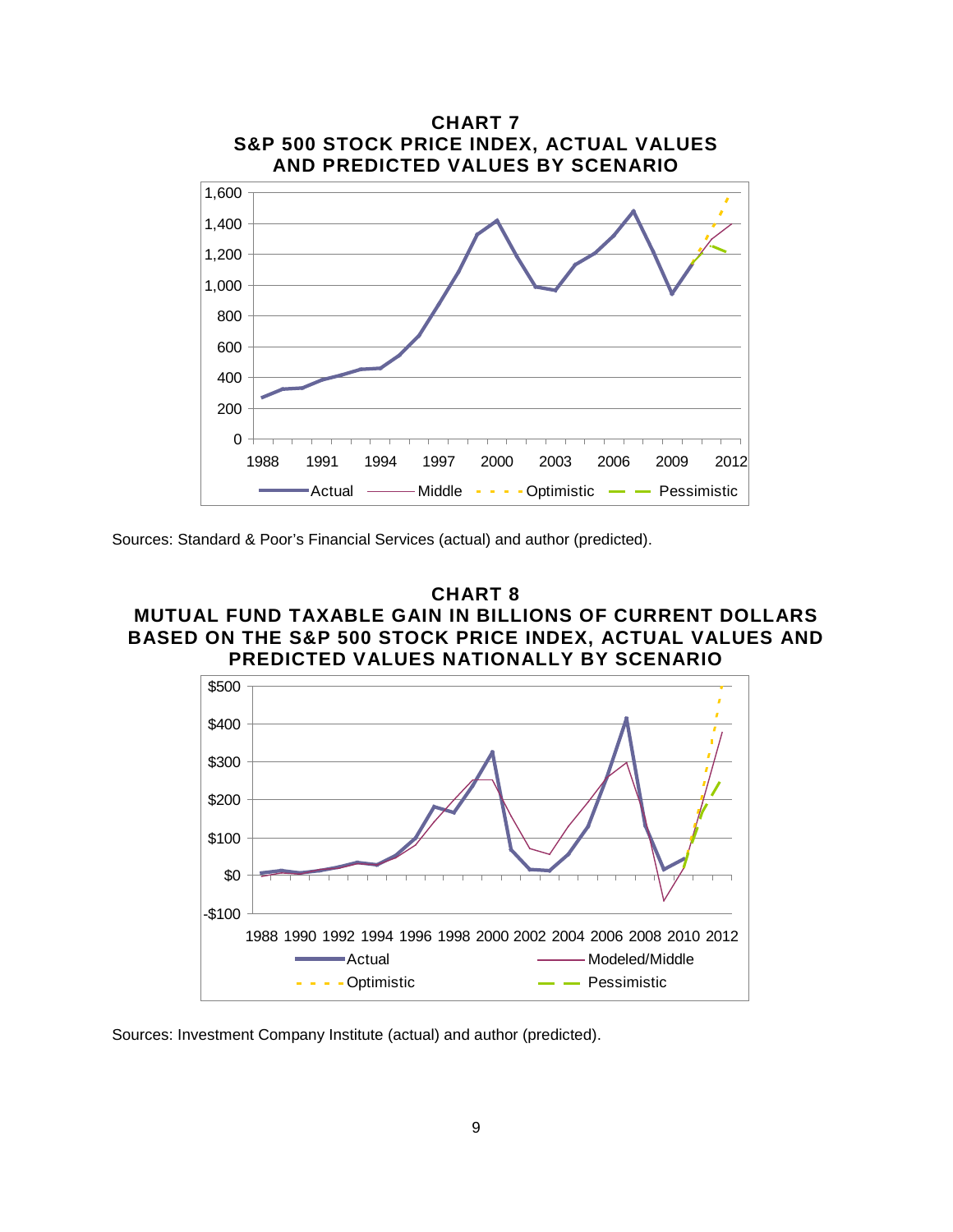

Sources: Standard & Poor's Financial Services (actual) and author (predicted).





Sources: Investment Company Institute (actual) and author (predicted).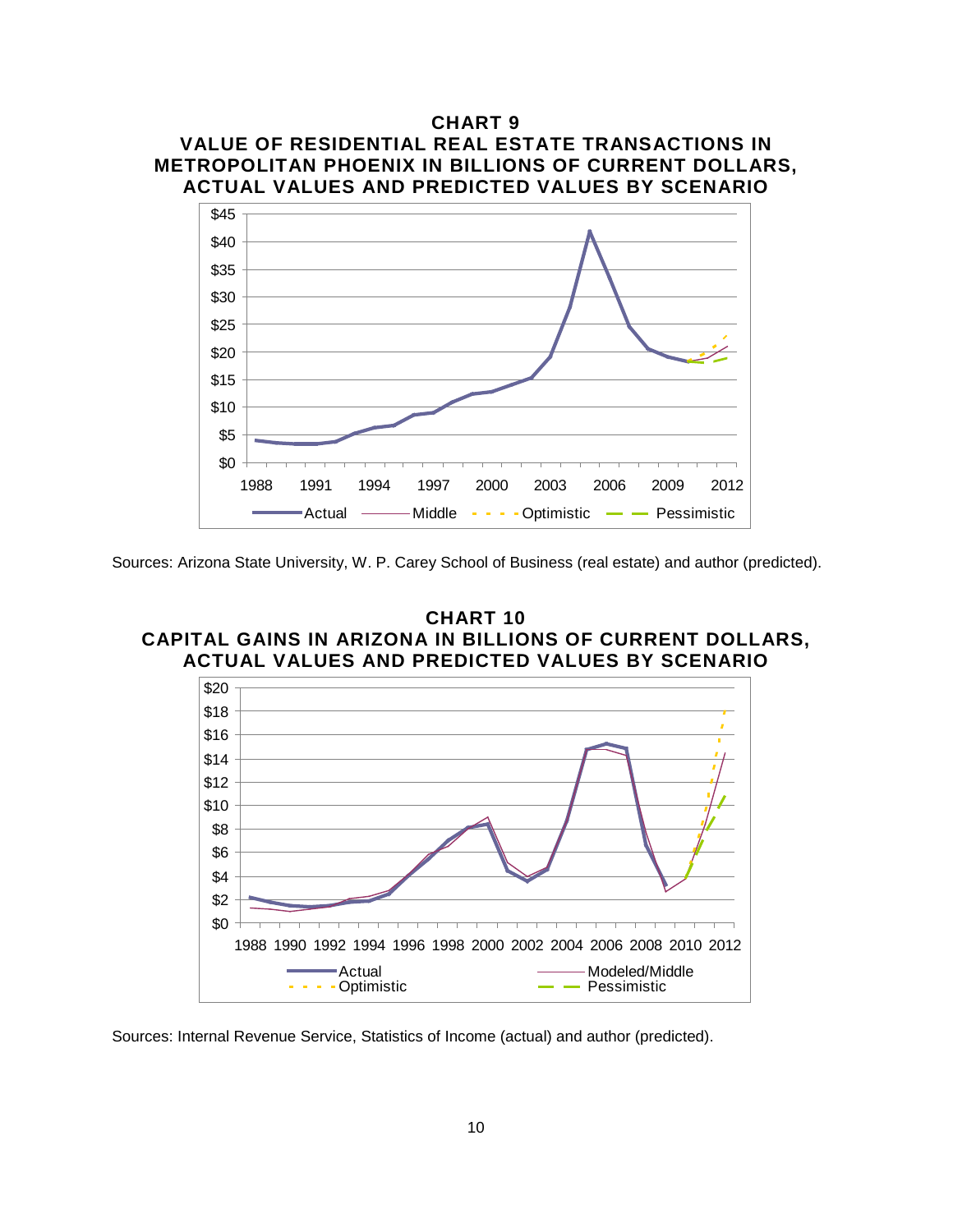

Sources: Arizona State University, W. P. Carey School of Business (real estate) and author (predicted).





Sources: Internal Revenue Service, Statistics of Income (actual) and author (predicted).